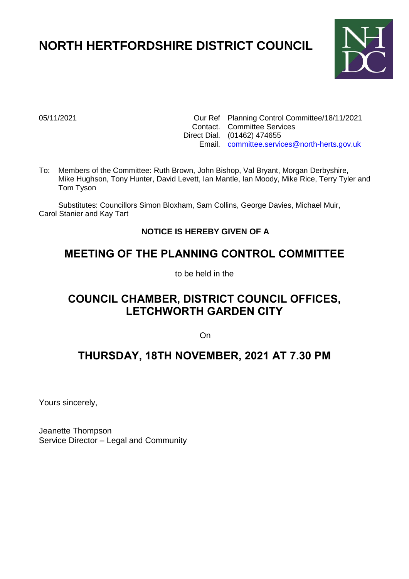# **NORTH HERTFORDSHIRE DISTRICT COUNCIL**



05/11/2021 Our Ref Planning Control Committee/18/11/2021 Contact. Committee Services Direct Dial. (01462) 474655 Email. [committee.services@north-herts.gov.uk](mailto:committee.services@north-herts.gov.uk)

To: Members of the Committee: Ruth Brown, John Bishop, Val Bryant, Morgan Derbyshire, Mike Hughson, Tony Hunter, David Levett, Ian Mantle, Ian Moody, Mike Rice, Terry Tyler and Tom Tyson

Substitutes: Councillors Simon Bloxham, Sam Collins, George Davies, Michael Muir, Carol Stanier and Kay Tart

## **NOTICE IS HEREBY GIVEN OF A**

## **MEETING OF THE PLANNING CONTROL COMMITTEE**

to be held in the

## **COUNCIL CHAMBER, DISTRICT COUNCIL OFFICES, LETCHWORTH GARDEN CITY**

**On** 

## **THURSDAY, 18TH NOVEMBER, 2021 AT 7.30 PM**

Yours sincerely,

Jeanette Thompson Service Director – Legal and Community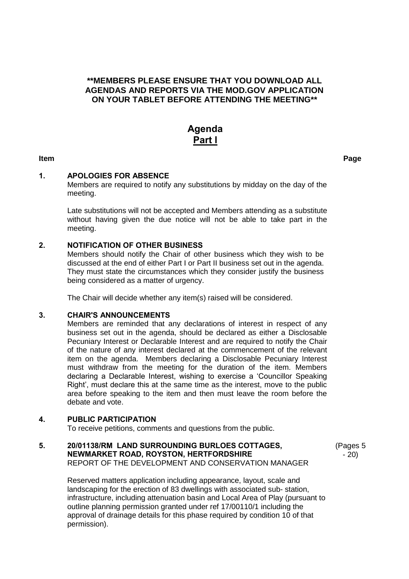### **\*\*MEMBERS PLEASE ENSURE THAT YOU DOWNLOAD ALL AGENDAS AND REPORTS VIA THE MOD.GOV APPLICATION ON YOUR TABLET BEFORE ATTENDING THE MEETING\*\***

## **Agenda Part l**

**Item Page**

### **1. APOLOGIES FOR ABSENCE**

Members are required to notify any substitutions by midday on the day of the meeting.

Late substitutions will not be accepted and Members attending as a substitute without having given the due notice will not be able to take part in the meeting.

### **2. NOTIFICATION OF OTHER BUSINESS**

Members should notify the Chair of other business which they wish to be discussed at the end of either Part I or Part II business set out in the agenda. They must state the circumstances which they consider justify the business being considered as a matter of urgency.

The Chair will decide whether any item(s) raised will be considered.

### **3. CHAIR'S ANNOUNCEMENTS**

Members are reminded that any declarations of interest in respect of any business set out in the agenda, should be declared as either a Disclosable Pecuniary Interest or Declarable Interest and are required to notify the Chair of the nature of any interest declared at the commencement of the relevant item on the agenda. Members declaring a Disclosable Pecuniary Interest must withdraw from the meeting for the duration of the item. Members declaring a Declarable Interest, wishing to exercise a 'Councillor Speaking Right', must declare this at the same time as the interest, move to the public area before speaking to the item and then must leave the room before the debate and vote.

### **4. PUBLIC PARTICIPATION**

To receive petitions, comments and questions from the public.

### **5. 20/01138/RM LAND SURROUNDING BURLOES COTTAGES, NEWMARKET ROAD, ROYSTON, HERTFORDSHIRE** REPORT OF THE DEVELOPMENT AND CONSERVATION MANAGER

(Pages 5 - 20)

Reserved matters application including appearance, layout, scale and landscaping for the erection of 83 dwellings with associated sub- station, infrastructure, including attenuation basin and Local Area of Play (pursuant to outline planning permission granted under ref 17/00110/1 including the approval of drainage details for this phase required by condition 10 of that permission).